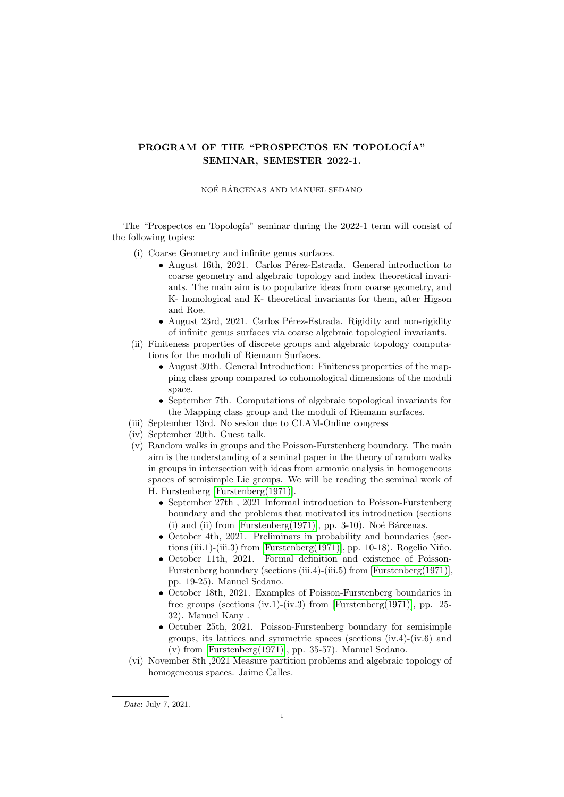## PROGRAM OF THE "PROSPECTOS EN TOPOLOGÍA" SEMINAR, SEMESTER 2022-1.

## NOÉ BÁRCENAS AND MANUEL SEDANO

The "Prospectos en Topología" seminar during the 2022-1 term will consist of the following topics:

- (i) Coarse Geometry and infinite genus surfaces.
	- August 16th, 2021. Carlos Pérez-Estrada. General introduction to coarse geometry and algebraic topology and index theoretical invariants. The main aim is to popularize ideas from coarse geometry, and K- homological and K- theoretical invariants for them, after Higson and Roe.
	- August 23rd, 2021. Carlos Pérez-Estrada. Rigidity and non-rigidity of infinite genus surfaces via coarse algebraic topological invariants.
- (ii) Finiteness properties of discrete groups and algebraic topology computations for the moduli of Riemann Surfaces.
	- August 30th. General Introduction: Finiteness properties of the mapping class group compared to cohomological dimensions of the moduli space.
	- September 7th. Computations of algebraic topological invariants for the Mapping class group and the moduli of Riemann surfaces.
- (iii) September 13rd. No sesion due to CLAM-Online congress
- (iv) September 20th. Guest talk.
- (v) Random walks in groups and the Poisson-Furstenberg boundary. The main aim is the understanding of a seminal paper in the theory of random walks in groups in intersection with ideas from armonic analysis in homogeneous spaces of semisimple Lie groups. We will be reading the seminal work of H. Furstenberg [\[Furstenberg\(1971\)\]](#page-1-0).
	- September 27th , 2021 Informal introduction to Poisson-Furstenberg boundary and the problems that motivated its introduction (sections  $(i)$  and  $(ii)$  from [Furstenberg $(1971)$ ], pp. 3-10). Noé Bárcenas.
	- October 4th, 2021. Preliminars in probability and boundaries (sec-tions (iii.1)-(iii.3) from [\[Furstenberg\(1971\)\]](#page-1-0), pp. 10-18). Rogelio Niño.
	- October 11th, 2021. Formal definition and existence of Poisson-Furstenberg boundary (sections (iii.4)-(iii.5) from [\[Furstenberg\(1971\)\]](#page-1-0), pp. 19-25). Manuel Sedano.
	- October 18th, 2021. Examples of Poisson-Furstenberg boundaries in free groups (sections (iv.1)-(iv.3) from [\[Furstenberg\(1971\)\]](#page-1-0), pp. 25- 32). Manuel Kany .
	- Octuber 25th, 2021. Poisson-Furstenberg boundary for semisimple groups, its lattices and symmetric spaces (sections (iv.4)-(iv.6) and (v) from [\[Furstenberg\(1971\)\]](#page-1-0), pp. 35-57). Manuel Sedano.
- (vi) November 8th ,2021 Measure partition problems and algebraic topology of homogeneous spaces. Jaime Calles.

Date: July 7, 2021.